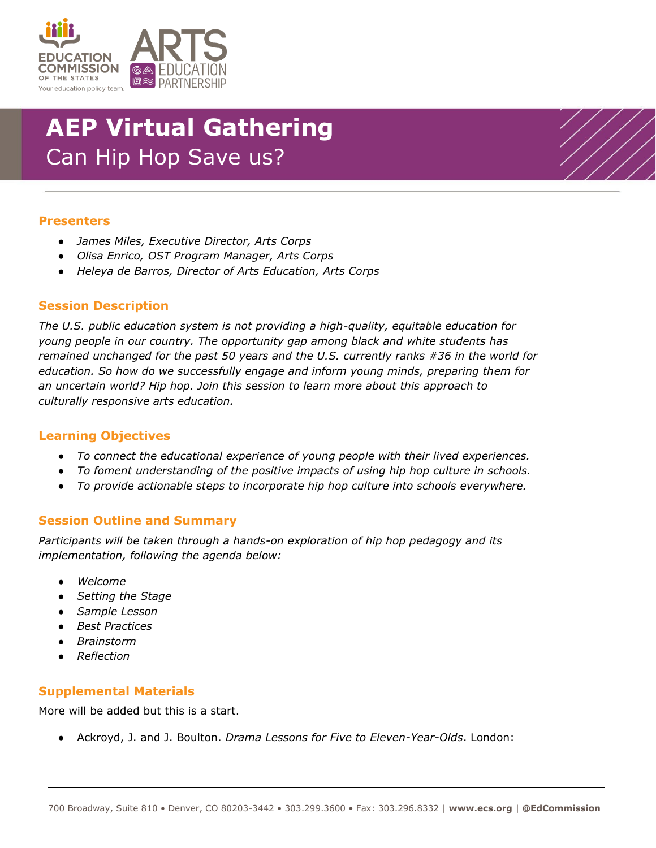

# **AEP Virtual Gathering**  Can Hip Hop Save us?

## **Presenters**

- *James Miles, Executive Director, Arts Corps*
- *Olisa Enrico, OST Program Manager, Arts Corps*
- *Heleya de Barros, Director of Arts Education, Arts Corps*

#### **Session Description**

*The U.S. public education system is not providing a high-quality, equitable education for young people in our country. The opportunity gap among black and white students has remained unchanged for the past 50 years and the U.S. currently ranks #36 in the world for education. So how do we successfully engage and inform young minds, preparing them for an uncertain world? Hip hop. Join this session to learn more about this approach to culturally responsive arts education.*

### **Learning Objectives**

- *To connect the educational experience of young people with their lived experiences.*
- *To foment understanding of the positive impacts of using hip hop culture in schools.*
- *To provide actionable steps to incorporate hip hop culture into schools everywhere.*

### **Session Outline and Summary**

*Participants will be taken through a hands-on exploration of hip hop pedagogy and its implementation, following the agenda below:*

- *Welcome*
- *Setting the Stage*
- *Sample Lesson*
- *Best Practices*
- *Brainstorm*
- *Reflection*

### **Supplemental Materials**

More will be added but this is a start.

● Ackroyd, J. and J. Boulton. *Drama Lessons for Five to Eleven-Year-Olds*. London: